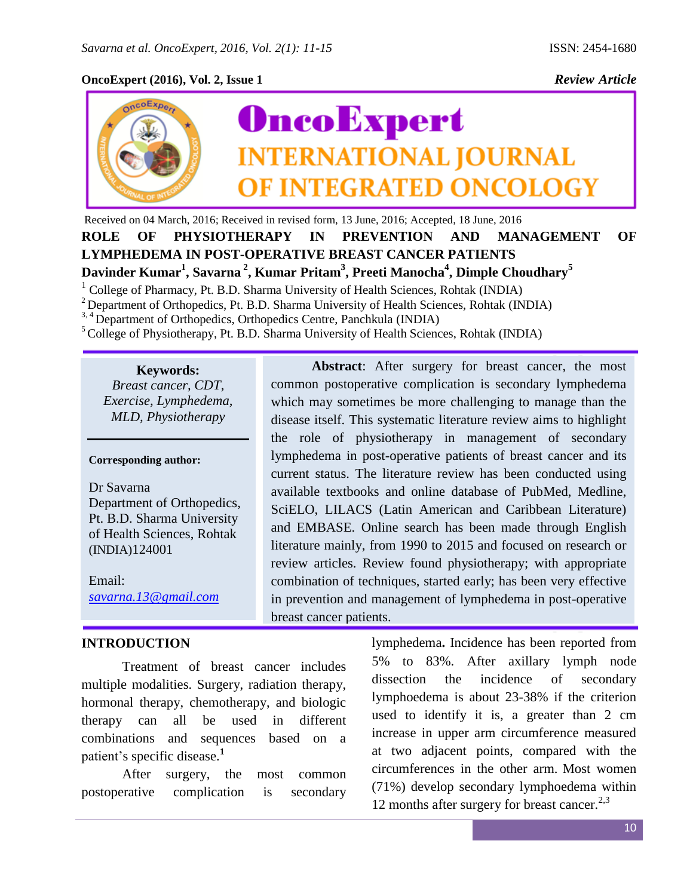# **OncoExpert (2016), Vol. 2, Issue 1** *Review Article*



Received on 04 March, 2016; Received in revised form, 13 June, 2016; Accepted, 18 June, 2016 **ROLE OF PHYSIOTHERAPY IN PREVENTION AND MANAGEMENT OF LYMPHEDEMA IN POST-OPERATIVE BREAST CANCER PATIENTS Davinder Kumar<sup>1</sup> , Savarna <sup>2</sup> , Kumar Pritam<sup>3</sup> , Preeti Manocha<sup>4</sup> , Dimple Choudhary<sup>5</sup>**

 $<sup>1</sup>$  College of Pharmacy, Pt. B.D. Sharma University of Health Sciences, Rohtak (INDIA)</sup>

<sup>2</sup> Department of Orthopedics, Pt. B.D. Sharma University of Health Sciences, Rohtak (INDIA)

<sup>3, 4</sup> Department of Orthopedics, Orthopedics Centre, Panchkula (INDIA)

<sup>5</sup>College of Physiotherapy, Pt. B.D. Sharma University of Health Sciences, Rohtak (INDIA)

**Keywords:** *Breast cancer, CDT, Exercise, Lymphedema, MLD, Physiotherapy*

**Corresponding author:** 

Dr Savarna Department of Orthopedics, Pt. B.D. Sharma University of Health Sciences, Rohtak (INDIA)124001

Email: *[savarna.13@gmail.com](mailto:savarna.13@gmail.com)*

# **INTRODUCTION**

Treatment of breast cancer includes multiple modalities. Surgery, radiation therapy, hormonal therapy, chemotherapy, and biologic therapy can all be used in different combinations and sequences based on a patient's specific disease.**<sup>1</sup>**

After surgery, the most common postoperative complication is secondary

disease itself. This systematic literature review aims to highlight the role of physiotherapy in management of secondary lymphedema in post-operative patients of breast cancer and its current status. The literature review has been conducted using available textbooks and online database of PubMed, Medline, SciELO, LILACS (Latin American and Caribbean Literature) and EMBASE. Online search has been made through English literature mainly, from 1990 to 2015 and focused on research or review articles. Review found physiotherapy; with appropriate combination of techniques, started early; has been very effective in prevention and management of lymphedema in post-operative breast cancer patients.

**Abstract**: After surgery for breast cancer, the most

common postoperative complication is secondary lymphedema which may sometimes be more challenging to manage than the

> lymphedema**.** Incidence has been reported from 5% to 83%. After axillary lymph node dissection the incidence of secondary lymphoedema is about 23-38% if the criterion used to identify it is, a greater than 2 cm increase in upper arm circumference measured at two adjacent points, compared with the circumferences in the other arm. Most women (71%) develop secondary lymphoedema within 12 months after surgery for breast cancer. $2,3$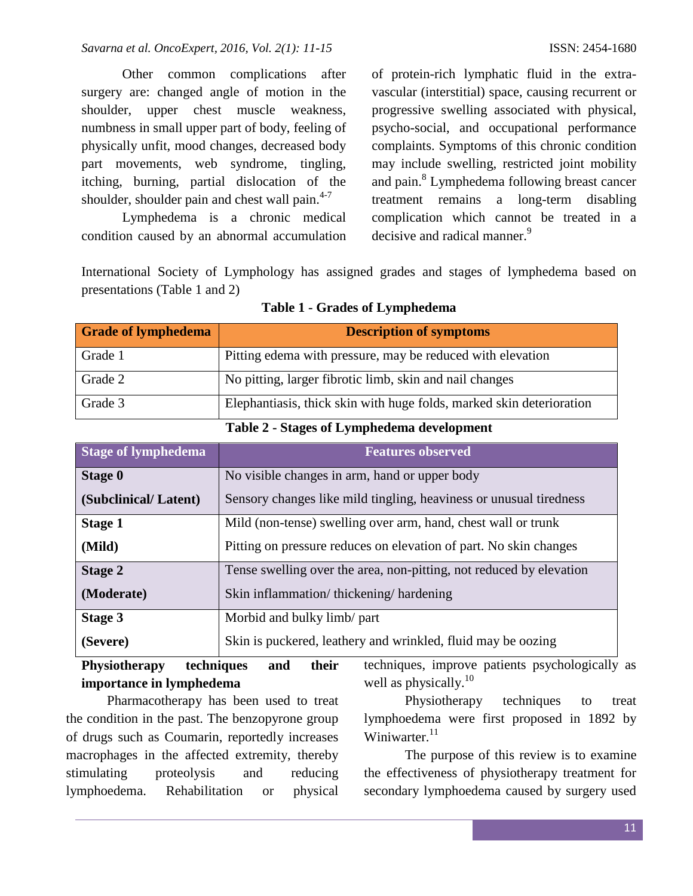Other common complications after surgery are: changed angle of motion in the shoulder, upper chest muscle weakness, numbness in small upper part of body, feeling of physically unfit, mood changes, decreased body part movements, web syndrome, tingling, itching, burning, partial dislocation of the shoulder, shoulder pain and chest wall pain. $4-7$ 

Lymphedema is a chronic medical condition caused by an abnormal accumulation

of protein-rich lymphatic fluid in the extravascular (interstitial) space, causing recurrent or progressive swelling associated with physical, psycho-social, and occupational performance complaints. Symptoms of this chronic condition may include swelling, restricted joint mobility and pain.<sup>8</sup> Lymphedema following breast cancer treatment remains a long-term disabling complication which cannot be treated in a decisive and radical manner.<sup>9</sup>

International Society of Lymphology has assigned grades and stages of lymphedema based on presentations (Table 1 and 2)

| <b>Grade of lymphedema</b> | <b>Description of symptoms</b>                                       |
|----------------------------|----------------------------------------------------------------------|
| Grade 1                    | Pitting edema with pressure, may be reduced with elevation           |
| Grade 2                    | No pitting, larger fibrotic limb, skin and nail changes              |
| Grade 3                    | Elephantiasis, thick skin with huge folds, marked skin deterioration |
|                            | Table 2. Chance of Lymphodoma development                            |

| <b>Table 1 - Grades of Lymphedema</b> |  |  |  |  |
|---------------------------------------|--|--|--|--|
|---------------------------------------|--|--|--|--|

|  | Table 2 - Stages of Lymphedema development |  |
|--|--------------------------------------------|--|
|  |                                            |  |

| <b>Stage of lymphedema</b> | <b>Features observed</b>                                            |
|----------------------------|---------------------------------------------------------------------|
| Stage 0                    | No visible changes in arm, hand or upper body                       |
| (Subclinical/Latent)       | Sensory changes like mild tingling, heaviness or unusual tiredness  |
| <b>Stage 1</b>             | Mild (non-tense) swelling over arm, hand, chest wall or trunk       |
| (Mild)                     | Pitting on pressure reduces on elevation of part. No skin changes   |
| <b>Stage 2</b>             | Tense swelling over the area, non-pitting, not reduced by elevation |
| (Moderate)                 | Skin inflammation/thickening/hardening                              |
| Stage 3                    | Morbid and bulky limb/ part                                         |
| (Severe)                   | Skin is puckered, leathery and wrinkled, fluid may be oozing        |

# **Physiotherapy techniques and their importance in lymphedema**

Pharmacotherapy has been used to treat the condition in the past. The benzopyrone group of drugs such as Coumarin, reportedly increases macrophages in the affected extremity, thereby stimulating proteolysis and reducing lymphoedema. Rehabilitation or physical techniques, improve patients psychologically as well as physically. $10^{10}$ 

Physiotherapy techniques to treat lymphoedema were first proposed in 1892 by Winiwarter.<sup>11</sup>

The purpose of this review is to examine the effectiveness of physiotherapy treatment for secondary lymphoedema caused by surgery used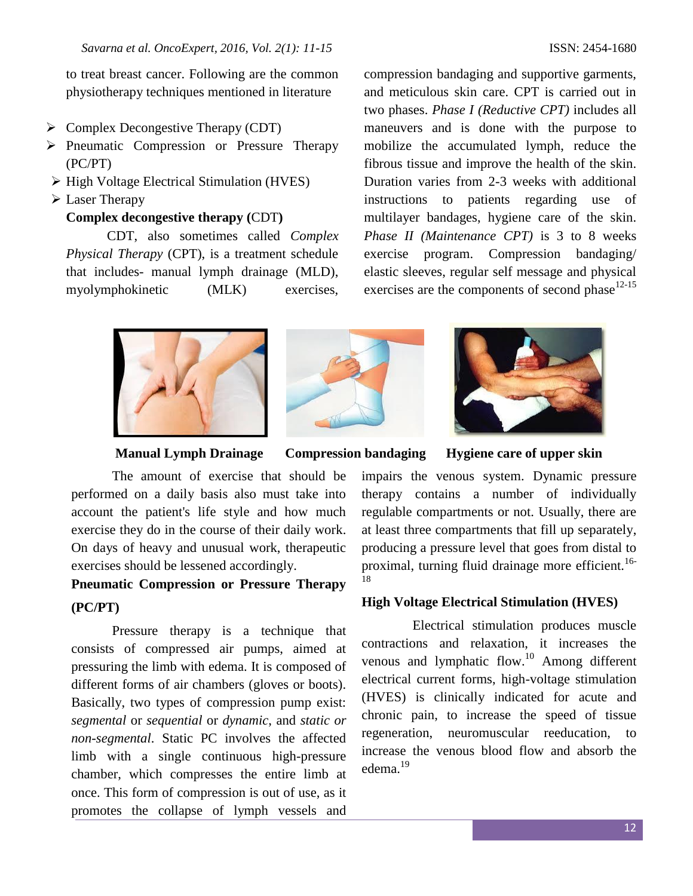to treat breast cancer. Following are the common physiotherapy techniques mentioned in literature

- $\triangleright$  Complex Decongestive Therapy (CDT)
- $\triangleright$  Pneumatic Compression or Pressure Therapy (PC/PT)
- $\triangleright$  High Voltage Electrical Stimulation (HVES)
- Laser Therapy

## **Complex decongestive therapy (**CDT**)**

CDT, also sometimes called *Complex Physical Therapy* (CPT), is a treatment schedule that includes- manual lymph drainage (MLD), myolymphokinetic (MLK) exercises,

compression bandaging and supportive garments, and meticulous skin care. CPT is carried out in two phases. *Phase I (Reductive CPT)* includes all maneuvers and is done with the purpose to mobilize the accumulated lymph, reduce the fibrous tissue and improve the health of the skin. Duration varies from 2-3 weeks with additional instructions to patients regarding use of multilayer bandages, hygiene care of the skin. *Phase II (Maintenance CPT)* is 3 to 8 weeks exercise program. Compression bandaging/ elastic sleeves, regular self message and physical exercises are the components of second phase $12-15$ 







**Manual Lymph Drainage Compression bandaging Hygiene care of upper skin**

The amount of exercise that should be performed on a daily basis also must take into account the patient's life style and how much exercise they do in the course of their daily work. On days of heavy and unusual work, therapeutic exercises should be lessened accordingly.

# **Pneumatic Compression or Pressure Therapy (PC/PT)**

Pressure therapy is a technique that consists of compressed air pumps, aimed at pressuring the limb with edema. It is composed of different forms of air chambers (gloves or boots). Basically, two types of compression pump exist: *segmental* or *sequential* or *dynamic*, and *static or non-segmental*. Static PC involves the affected limb with a single continuous high-pressure chamber, which compresses the entire limb at once. This form of compression is out of use, as it promotes the collapse of lymph vessels and impairs the venous system. Dynamic pressure therapy contains a number of individually regulable compartments or not. Usually, there are at least three compartments that fill up separately, producing a pressure level that goes from distal to proximal, turning fluid drainage more efficient.<sup>16-</sup> 18

#### **High Voltage Electrical Stimulation (HVES)**

Electrical stimulation produces muscle contractions and relaxation, it increases the venous and lymphatic flow.<sup>10</sup> Among different electrical current forms, high-voltage stimulation (HVES) is clinically indicated for acute and chronic pain, to increase the speed of tissue regeneration, neuromuscular reeducation, to increase the venous blood flow and absorb the edema.<sup>19</sup>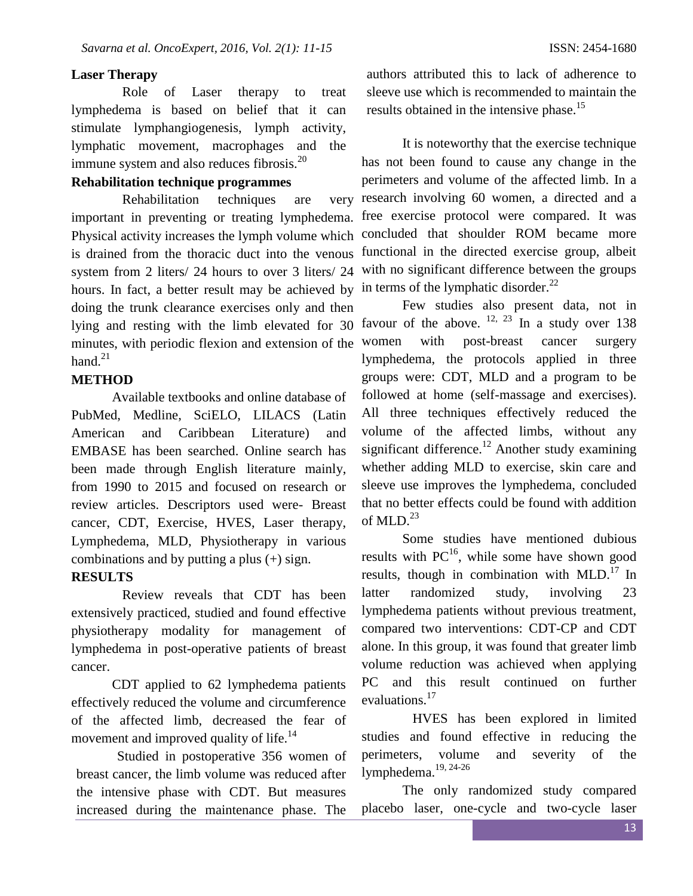#### **Laser Therapy**

Role of Laser therapy to treat lymphedema is based on belief that it can stimulate lymphangiogenesis, lymph activity, lymphatic movement, macrophages and the immune system and also reduces fibrosis.<sup>20</sup>

# **Rehabilitation technique programmes**

Rehabilitation techniques are important in preventing or treating lymphedema. free exercise protocol were compared. It was Physical activity increases the lymph volume which concluded that shoulder ROM became more is drained from the thoracic duct into the venous functional in the directed exercise group, albeit system from 2 liters/ 24 hours to over 3 liters/ 24 with no significant difference between the groups hours. In fact, a better result may be achieved by in terms of the lymphatic disorder.<sup>22</sup> doing the trunk clearance exercises only and then lying and resting with the limb elevated for 30 favour of the above.  $^{12}$ ,  $^{23}$  In a study over 138 minutes, with periodic flexion and extension of the hand. $^{21}$ 

### **METHOD**

Available textbooks and online database of PubMed, Medline, SciELO, LILACS (Latin American and Caribbean Literature) and EMBASE has been searched. Online search has been made through English literature mainly, from 1990 to 2015 and focused on research or review articles. Descriptors used were- Breast cancer, CDT, Exercise, HVES, Laser therapy, Lymphedema, MLD, Physiotherapy in various combinations and by putting a plus (+) sign.

## **RESULTS**

Review reveals that CDT has been extensively practiced, studied and found effective physiotherapy modality for management of lymphedema in post-operative patients of breast cancer.

CDT applied to 62 lymphedema patients effectively reduced the volume and circumference of the affected limb, decreased the fear of movement and improved quality of life.<sup>14</sup>

Studied in postoperative 356 women of breast cancer, the limb volume was reduced after the intensive phase with CDT. But measures increased during the maintenance phase. The authors attributed this to lack of adherence to sleeve use which is recommended to maintain the results obtained in the intensive phase.<sup>15</sup>

It is noteworthy that the exercise technique has not been found to cause any change in the perimeters and volume of the affected limb. In a very research involving 60 women, a directed and a

Few studies also present data, not in women with post-breast cancer surgery lymphedema, the protocols applied in three groups were: CDT, MLD and a program to be followed at home (self-massage and exercises). All three techniques effectively reduced the volume of the affected limbs, without any significant difference.<sup>12</sup> Another study examining whether adding MLD to exercise, skin care and sleeve use improves the lymphedema, concluded that no better effects could be found with addition of MLD. $^{23}$ 

Some studies have mentioned dubious results with  $PC^{16}$ , while some have shown good results, though in combination with  $MLD$ .<sup>17</sup> In latter randomized study, involving 23 lymphedema patients without previous treatment, compared two interventions: CDT-CP and CDT alone. In this group, it was found that greater limb volume reduction was achieved when applying PC and this result continued on further evaluations.<sup>17</sup>

HVES has been explored in limited studies and found effective in reducing the perimeters, volume and severity of the lymphedema.<sup>19, 24-26</sup>

The only randomized study compared placebo laser, one-cycle and two-cycle laser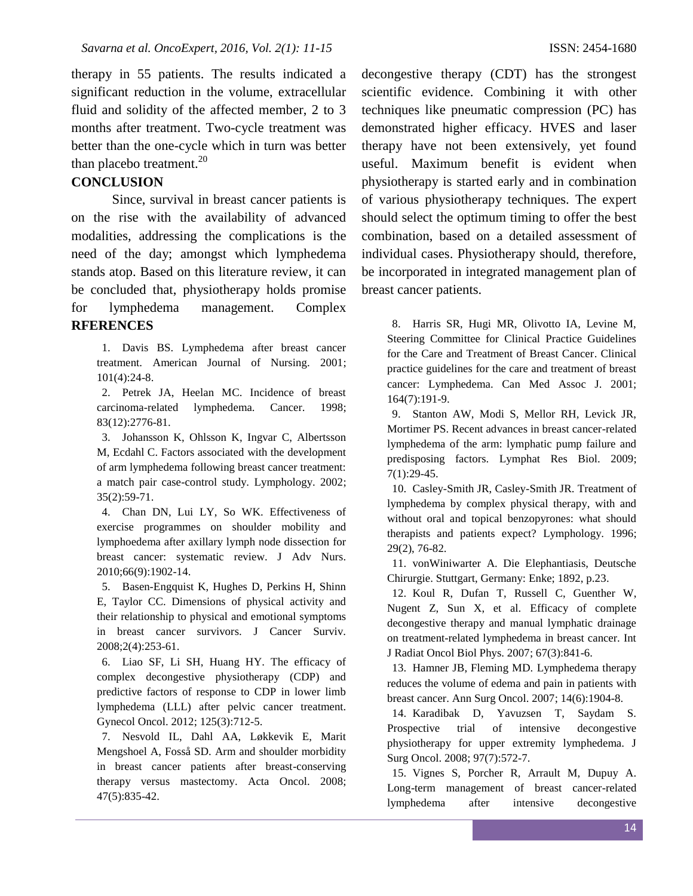therapy in 55 patients. The results indicated a significant reduction in the volume, extracellular fluid and solidity of the affected member, 2 to 3 months after treatment. Two-cycle treatment was better than the one-cycle which in turn was better than placebo treatment. $^{20}$ 

# **CONCLUSION**

Since, survival in breast cancer patients is on the rise with the availability of advanced modalities, addressing the complications is the need of the day; amongst which lymphedema stands atop. Based on this literature review, it can be concluded that, physiotherapy holds promise for lymphedema management. Complex **RFERENCES**

1. Davis BS. Lymphedema after breast cancer treatment. American Journal of Nursing. 2001; 101(4):24-8.

2. Petrek JA, Heelan MC. Incidence of breast carcinoma-related lymphedema. Cancer. 1998; 83(12):2776-81.

3. Johansson K, Ohlsson K, Ingvar C, Albertsson M, Ecdahl C. Factors associated with the development of arm lymphedema following breast cancer treatment: a match pair case-control study. Lymphology. 2002; 35(2):59-71.

4. Chan DN, Lui LY, So WK. Effectiveness of exercise programmes on shoulder mobility and lymphoedema after axillary lymph node dissection for breast cancer: systematic review. J Adv Nurs. 2010;66(9):1902-14.

5. Basen-Engquist K, Hughes D, Perkins H, Shinn E, Taylor CC. Dimensions of physical activity and their relationship to physical and emotional symptoms in breast cancer survivors. J Cancer Surviv. 2008;2(4):253-61.

6. Liao SF, Li SH, Huang HY. The efficacy of complex decongestive physiotherapy (CDP) and predictive factors of response to CDP in lower limb lymphedema (LLL) after pelvic cancer treatment. Gynecol Oncol. 2012; 125(3):712-5.

7. Nesvold IL, Dahl AA, Løkkevik E, Marit Mengshoel A, Fosså SD. Arm and shoulder morbidity in breast cancer patients after breast-conserving therapy versus mastectomy. Acta Oncol. 2008; 47(5):835-42.

decongestive therapy (CDT) has the strongest scientific evidence. Combining it with other techniques like pneumatic compression (PC) has demonstrated higher efficacy. HVES and laser therapy have not been extensively, yet found useful. Maximum benefit is evident when physiotherapy is started early and in combination of various physiotherapy techniques. The expert should select the optimum timing to offer the best combination, based on a detailed assessment of individual cases. Physiotherapy should, therefore, be incorporated in integrated management plan of breast cancer patients.

8. Harris SR, Hugi MR, Olivotto IA, Levine M, Steering Committee for Clinical Practice Guidelines for the Care and Treatment of Breast Cancer. Clinical practice guidelines for the care and treatment of breast cancer: Lymphedema. Can Med Assoc J. 2001; 164(7):191-9.

9. Stanton AW, Modi S, Mellor RH, Levick JR, Mortimer PS. Recent advances in breast cancer-related lymphedema of the arm: lymphatic pump failure and predisposing factors. Lymphat Res Biol. 2009; 7(1):29-45.

10. Casley-Smith JR, Casley-Smith JR. Treatment of lymphedema by complex physical therapy, with and without oral and topical benzopyrones: what should therapists and patients expect? Lymphology. 1996; 29(2), 76-82.

11. vonWiniwarter A. Die Elephantiasis, Deutsche Chirurgie. Stuttgart, Germany: Enke; 1892, p.23.

12. Koul R, Dufan T, Russell C, Guenther W, Nugent Z, Sun X, et al. Efficacy of complete decongestive therapy and manual lymphatic drainage on treatment-related lymphedema in breast cancer. Int J Radiat Oncol Biol Phys. 2007; 67(3):841-6.

13. Hamner JB, Fleming MD. Lymphedema therapy reduces the volume of edema and pain in patients with breast cancer. Ann Surg Oncol. 2007; 14(6):1904-8.

14. Karadibak D, Yavuzsen T, Saydam S. Prospective trial of intensive decongestive physiotherapy for upper extremity lymphedema. J Surg Oncol. 2008; 97(7):572-7.

15. Vignes S, Porcher R, Arrault M, Dupuy A. Long-term management of breast cancer-related lymphedema after intensive decongestive